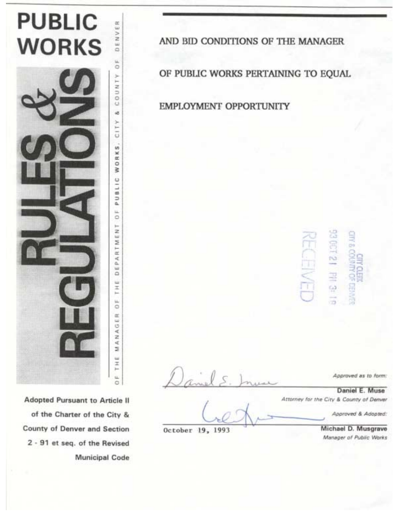

Adopted Pursuant to Article II of the Charter of the City & County of Denver and Section 2 - 91 et seq. of the Revised **Municipal Code**  AND BID CONDITIONS OF THE MANAGER

OF PUBLIC WORKS PERTAINING TO EQUAL

**EMPLOYMENT OPPORTUNITY** 

JIN & COUNTY FCT21 PH 3:

Approved as to form:

Daniel E. Muse Attorney for the City & County of Denver

Approved & Adopted:

Michael D. Musgrave Manager of Public Works

October 19, 1993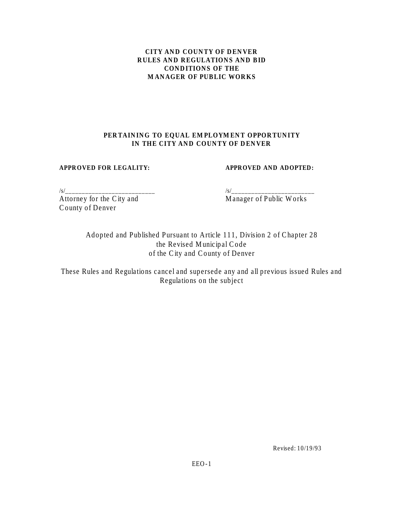# **CITY AND COUNTY OF DENVER RULES AND REGULATIONS AND BID CONDITIONS OF THE MANAGER OF PUBLIC WORKS**

# **PERTAINING TO EQUAL EMPLOYMENT OPPORTUNITY IN THE CITY AND COUNTY OF DENVER**

# **APPROVED FOR LEGALITY: APPROVED AND ADOPTED:**

Attorney for the City and Manager of Public Works County of Denver

/s/\_\_\_\_\_\_\_\_\_\_\_\_\_\_\_\_\_\_\_\_\_\_\_\_\_\_\_ /s/\_\_\_\_\_\_\_\_\_\_\_\_\_\_\_\_\_\_\_\_\_\_\_\_\_

Adopted and Published Pursuant to Article 111, Division 2 of Chapter 28 the Revised Municipal Code of the City and County of Denver

These Rules and Regulations cancel and supersede any and all previous issued Rules and Regulations on the subject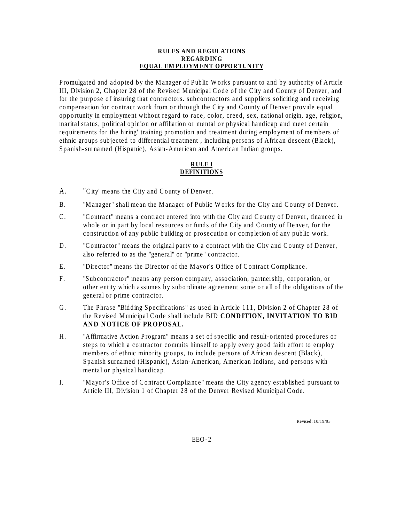#### **RULES AND REGULATIONS REGARDING EQUAL EMPLOYMENT OPPORTUNITY**

Promulgated and adopted by the Manager of Public Works pursuant to and by authority of Article III, Division 2, Chapter 28 of the Revised Municipal Code of the City and County of Denver, and for the purpose of insuring that contractors. subcontractors and suppliers soliciting and receiving compensation for contract work from or through the City and County of Denver provide equal opportunity in employment without regard to race, color, creed, sex, national origin, age, religion, marital status, political opinion or affiliation or mental or physical handicap and meet certain requirements for the hiring' training promotion and treatment during employment of members of ethnic groups subjected to differential treatment , including persons of African descent (Black), Spanish-surnamed (Hispanic), Asian-American and American Indian groups.

### **RULE I DEFINITIONS**

- A. "City' means the City and County of Denver.
- B. "Manager" shall mean the Manager of Public Works for the City and County of Denver.
- C. "Contract" means a contract entered into with the City and County of Denver, financed in whole or in part by local resources or funds of the City and County of Denver, for the construction of any public building or prosecution or completion of any public work.
- D. "Contractor" means the original party to a contract with the City and County of Denver, also referred to as the "general" or "prime" contractor.
- E. "Director" means the Director of the Mayor's Office of Contract Compliance.
- F. "Subcontractor" means any person company, association, partnership, corporation, or other entity which assumes by subordinate agreement some or all of the obligations of the general or prime contractor.
- G. The Phrase "Bidding Specifications" as used in Article 111, Division 2 of Chapter 28 of the Revised Municipal Code shall include BID **CONDITION, INVITATION TO BID AND NOTICE OF PROPOSAL.**
- H. "Affirmative Action Program" means a set of specific and result-oriented procedures or steps to which a contractor commits himself to apply every good faith effort to employ members of ethnic minority groups, to include persons of African descent (Black), Spanish surnamed (Hispanic), Asian-American, American Indians, and persons with mental or physical handicap.
- I. "Mayor's Office of Contract Compliance" means the City agency established pursuant to Article III, Division 1 of Chapter 28 of the Denver Revised Municipal Code.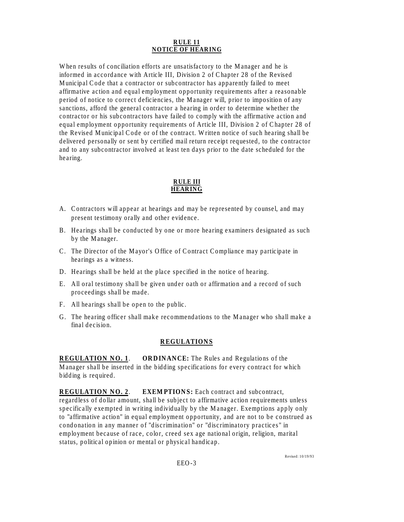#### **RULE 11 NOTICE OF HEARING**

When results of conciliation efforts are unsatisfactory to the Manager and he is informed in accordance with Article III, Division 2 of Chapter 28 of the Revised Municipal Code that a contractor or subcontractor has apparently failed to meet affirmative action and equal employment opportunity requirements after a reasonable period of notice to correct deficiencies, the Manager will, prior to imposition of any sanctions, afford the general contractor a hearing in order to determine whether the contractor or his subcontractors have failed to comply with the affirmative action and equal employment opportunity requirements of Article III, Division 2 of Chapter 28 of the Revised Municipal Code or of the contract. Written notice of such hearing shall be delivered personally or sent by certified mail return receipt requested, to the contractor and to any subcontractor involved at least ten days prior to the date scheduled for the hearing.

### **RULE III HEARING**

- A. Contractors will appear at hearings and may be represented by counsel, and may present testimony orally and other evidence.
- B. Hearings shall be conducted by one or more hearing examiners designated as such by the Manager.
- C. The Director of the Mayor's Office of Contract Compliance may participate in hearings as a witness.
- D. Hearings shall be held at the place specified in the notice of hearing.
- E. All oral testimony shall be given under oath or affirmation and a record of such proceedings shall be made.
- F. All hearings shall be open to the public.
- G. The hearing officer shall make recommendations to the Manager who shall make a final decision.

# **REGULATIONS**

**REGULATION NO. 1**. **ORDINANCE:** The Rules and Regulations of the Manager shall be inserted in the bidding specifications for every contract for which bidding is required.

**REGULATION NO. 2**. **EXEMPTIONS:** Each contract and subcontract, regardless of dollar amount, shall be subject to affirmative action requirements unless specifically exempted in writing individually by the Manager. Exemptions apply only to "affirmative action" in equal employment opportunity, and are not to be construed as condonation in any manner of "discrimination" or "discriminatory practices" in employment because of race, color, creed sex age national origin, religion, marital status, political opinion or mental or physical handicap.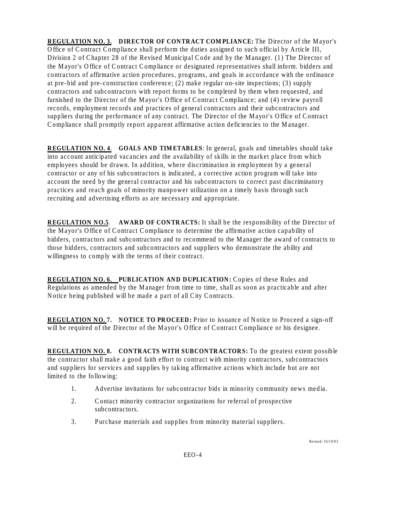**REGULATION NO. 3. DIRECTOR OF CONTRACT COMPLIANCE:** The Director of the Mayor's Office of Contract Compliance shall perform the duties assigned to such official by Article III, Division 2 of Chapter 28 of the Revised Municipal Code and by the Manager. (1) The Director of the Mayor's Office of Contract Compliance or designated representatives shall inform. bidders and contractors of affirmative action procedures, programs, and goals in accordance with the ordinance at pre-bid and pre-construction conference; (2) make regular on-site inspections; (3) supply contractors and subcontractors with report forms to be completed by them when requested, and furnished to the Director of the Mayor's Office of Contract Compliance; and (4) review payroll records, employment records and practices of general contractors and their subcontractors and suppliers during the performance of any contract. The Director of the Mayor's Office of Contract Compliance shall promptly report apparent affirmative action deficiencies to the Manager.

**REGULATION NO. 4**. **GOALS AND TIMETABLES**: In general, goals and timetables should take into account anticipated vacancies and the availability of skills in the market place from which employees should be drawn. In addition, where discrimination in employment by a general contractor or any of his subcontractors is indicated, a corrective action program will take into account the need by the general contractor and his subcontractors to correct past discriminatory practices and reach goals of minority manpower utilization on a timely basis through such recruiting and advertising efforts as are necessary and appropriate.

**REGULATION NO.5**. **AWARD OF CONTRACTS:** It shall be the responsibility of the Director of the Mayor's Office of Contract Compliance to determine the affirmative action capability of bidders, contractors and subcontractors and to recommend to the Manager the award of contracts to those bidders, contractors and subcontractors and suppliers who demonstrate the ability and willingness to comply with the terms of their contract.

**REGULATION NO. 6. PUBLICATION AND DUPLICATION: Copies of these Rules and** Regulations as amended by the Manager from time to time, shall as soon as practicable and after Notice being published will be made a part of all City Contracts.

**REGULATION NO. 7. NOTICE TO PROCEED:** Prior to issuance of Notice to Proceed a sign-off will be required of the Director of the Mayor's Office of Contract Compliance or his designee.

**REGULATION NO. 8. CONTRACTS WITH SUBCONTRACTORS:** To the greatest extent possible the contractor shall make a good faith effort to contract with minority contractors, subcontractors and suppliers for services and supplies by taking affirmative actions which include but are not limited to the following:

- 1. Advertise invitations for subcontractor bids in minority community news media.
- 2. Contact minority contractor organizations for referral of prospective subcontractors.
- 3. Purchase materials and supplies from minority material suppliers.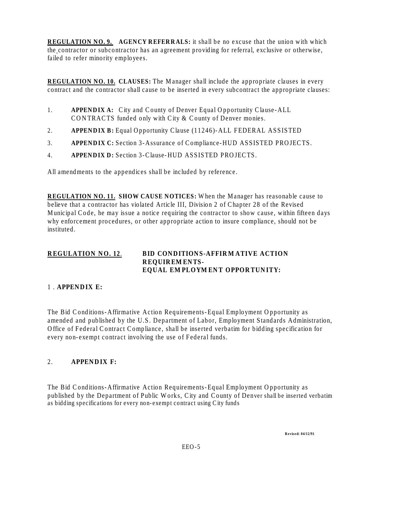**REGULATION NO. 9. AGENCY REFERRALS:** it shall be no excuse that the union with which the contractor or subcontractor has an agreement providing for referral, exclusive or otherwise, failed to refer minority employees.

**REGULATION NO. 10. CLAUSES:** The Manager shall include the appropriate clauses in every contract and the contractor shall cause to be inserted in every subcontract the appropriate clauses:

- 1. **APPENDIX A:** City and County of Denver Equal Opportunity Clause-ALL CONTRACTS funded only with City & County of Denver monies.
- 2. **APPENDIX B:** Equal Opportunity Clause (11246)-ALL FEDERAL ASSISTED
- 3. **APPENDIX C:** Section 3-Assurance of Compliance-HUD ASSISTED PROJECTS.
- 4. **APPENDIX D:** Section 3-Clause-HUD ASSISTED PROJECTS.

All amendments to the appendices shall be included by reference.

**REGULATION NO. 11. SHOW CAUSE NOTICES:** When the Manager has reasonable cause to believe that a contractor has violated Article III, Division 2 of Chapter 28 of the Revised Municipal Code, he may issue a notice requiring the contractor to show cause, within fifteen days why enforcement procedures, or other appropriate action to insure compliance, should not be instituted.

### **REGULATION NO. 12**. **BID CONDITIONS-AFFIRMATIVE ACTION REQUIREMENTS-EQUAL EMPLOYMENT OPPORTUNITY:**

### 1 . **APPENDIX E:**

The Bid Conditions-Affirmative Action Requirements-Equal Employment Opportunity as amended and published by the U.S. Department of Labor, Employment Standards Administration, Office of Federal Contract Compliance, shall be inserted verbatim for bidding specification for every non-exempt contract involving the use of Federal funds.

### 2. **APPENDIX F:**

The Bid Conditions-Affirmative Action Requirements-Equal Employment Opportunity as published by the Department of Public Works, City and County of Denver shall be inserted verbatim as bidding specifications for every non-exempt contract using City funds

**Revised: 04/12/91**

EEO-5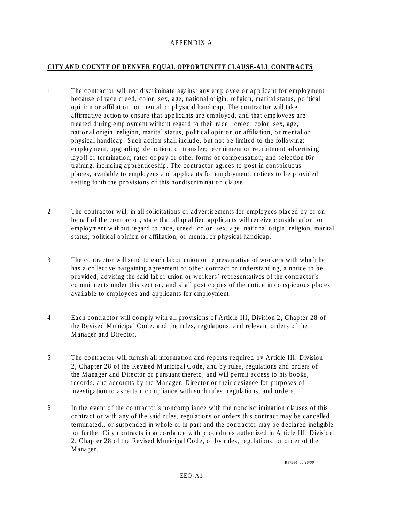### APPENDIX A

# **CITY AND COUNTY OF DENVER EQUAL OPPORTUNITY CLAUSE-ALL CONTRACTS**

- 1 The contractor will not discriminate against any employee or applicant for employment because of race creed, color, sex, age, national origin, religion, marital status, political opinion or affiliation, or mental or physical handicap. The contractor will take affirmative action to ensure that applicants are employed, and that employees are treated during employment without regard to their race , creed, color, sex, age, national origin, religion, marital status, political opinion or affiliation, or mental or physical handicap. Such action shall include, but not be limited to the following: employment, upgrading, demotion, or transfer; recruitment or recruitment advertising; layoff or termination; rates of pay or other forms of compensation; and selection f6r training, including apprenticeship. The contractor agrees to post in conspicuous places, available to employees and applicants for employment, notices to be provided setting forth the provisions of this nondiscrimination clause.
- 2. The contractor will, in all solicitations or advertisements for employees placed by or on behalf of the contractor, state that all qualified applicants will receive consideration for employment without regard to race, creed, color, sex, age, national origin, religion, marital status, political opinion or affiliation, or mental or physical handicap.
- 3. The contractor will send to each labor union or representative of workers with which he has a collective bargaining agreement or other contract or understanding, a notice to be provided, advising the said labor union or workers' representatives of the contractor's commitments under this section, and shall post copies of the notice in conspicuous places available to employees and applicants for employment.
- 4. Each contractor will comply with all provisions of Article III, Division 2, Chapter 28 of the Revised Municipal Code, and the rules, regulations, and relevant orders of the Manager and Director.
- 5. The contractor will furnish all information and reports required by Article III, Division 2, Chapter 28 of the Revised Municipal Code, and by rules, regulations and orders of the Manager and Director or pursuant thereto, and will permit access to his books, records, and accounts by the Manager, Director or their designee for purposes of investigation to ascertain compliance with such rules, regulations, and orders.
- 6. In the event of the contractor's noncompliance with the nondiscrimination clauses of this contract or with any of the said rules, regulations or orders this contract may be cancelled, terminated., or suspended in whole or in part and the contractor may be declared ineligible for further City contracts in accordance with procedures authorized in Article III, Division 2, Chapter 28 of the Revised Municipal Code, or by rules, regulations, or order of the Manager.

Revised: 09/28/90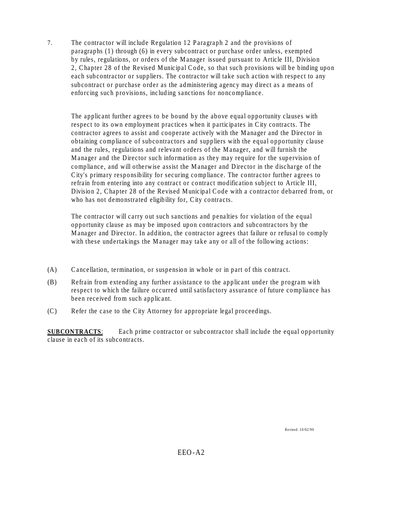7. The contractor will include Regulation 12 Paragraph 2 and the provisions of paragraphs (1) through (6) in every subcontract or purchase order unless, exempted by rules, regulations, or orders of the Manager issued pursuant to Article III, Division 2, Chapter 28 of the Revised Municipal Code, so that such provisions will be binding upon each subcontractor or suppliers. The contractor will take such action with respect to any subcontract or purchase order as the administering agency may direct as a means of enforcing such provisions, including sanctions for noncompliance.

The applicant further agrees to be bound by the above equal opportunity clauses with respect to its own employment practices when it participates in City contracts. The contractor agrees to assist and cooperate actively with the Manager and the Director in obtaining compliance of subcontractors and suppliers with the equal opportunity clause and the rules, regulations and relevant orders of the Manager, and will furnish the Manager and the Director such information as they may require for the supervision of compliance, and will otherwise assist the Manager and Director in the discharge of the City's primary responsibility for securing compliance. The contractor further agrees to refrain from entering into any contract or contract modification subject to Article III, Division 2, Chapter 28 of the Revised Municipal Code with a contractor debarred from, or who has not demonstrated eligibility for, City contracts.

The contractor will carry out such sanctions and penalties for violation of the equal opportunity clause as may be imposed upon contractors and subcontractors by the Manager and Director. In addition, the contractor agrees that failure or refusal to comply with these undertakings the Manager may take any or all of the following actions:

- (A) Cancellation, termination, or suspension in whole or in part of this contract.
- (B) Refrain from extending any further assistance to the applicant under the program with respect to which the failure occurred until satisfactory assurance of future compliance has been received from such applicant.
- (C) Refer the case to the City Attorney for appropriate legal proceedings.

**SUBCONTRACTS:** Each prime contractor or subcontractor shall include the equal opportunity clause in each of its subcontracts.

Revised: 10/02/90

EEO-A2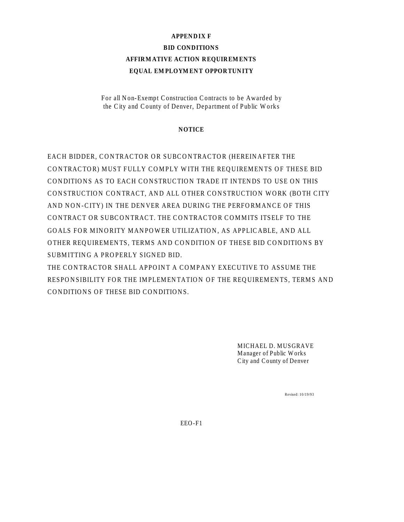# **APPENDIX F BID CONDITIONS AFFIRMATIVE ACTION REQUIREMENTS EQUAL EMPLOYMENT OPPORTUNITY**

For all Non-Exempt Construction Contracts to be Awarded by the City and County of Denver, Department of Public Works

# **NOTICE**

EACH BIDDER, CONTRACTOR OR SUBCONTRACTOR (HEREINAFTER THE CONTRACTOR) MUST FULLY COMPLY WITH THE REQUIREMENTS OF THESE BID CONDITIONS AS TO EACH CONSTRUCTION TRADE IT INTENDS TO USE ON THIS CONSTRUCTION CONTRACT, AND ALL OTHER CONSTRUCTION WORK (BOTH CITY AND NON-CITY) IN THE DENVER AREA DURING THE PERFORMANCE OF THIS CONTRACT OR SUBCONTRACT. THE CONTRACTOR COMMITS ITSELF TO THE GOALS FOR MINORITY MANPOWER UTILIZATION, AS APPLICABLE, AND ALL OTHER REQUIREMENTS, TERMS AND CONDITION OF THESE BID CONDITIONS BY SUBMITTING A PROPERLY SIGNED BID.

THE CONTRACTOR SHALL APPOINT A COMPANY EXECUTIVE TO ASSUME THE RESPONSIBILITY FOR THE IMPLEMENTATION OF THE REQUIREMENTS, TERMS AND CONDITIONS OF THESE BID CONDITIONS.

> MICHAEL D. MUSGRAVE Manager of Public Works City and County of Denver

> > Revised: 10/19/93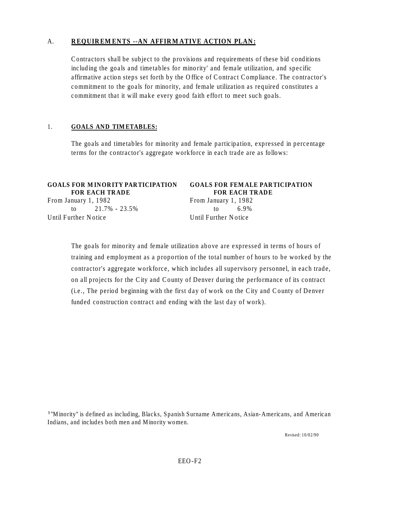# A. **REQUIREMENTS --AN AFFIRMATIVE ACTION PLAN:**

Contractors shall be subject to the provisions and requirements of these bid conditions including the goals and timetables for minority' and female utilization, and specific affirmative action steps set forth by the Office of Contract Compliance. The contractor's commitment to the goals for minority, and female utilization as required constitutes a commitment that it will make every good faith effort to meet such goals.

# 1. **GOALS AND TIMETABLES:**

The goals and timetables for minority and female participation, expressed in percentage terms for the contractor's aggregate workforce in each trade are as follows:

| <b>GOALS FOR MINORITY PARTICIPATION</b><br><b>FOR EACH TRADE</b> | <b>GOALS FOR FEMALE PARTICIPATION</b><br><b>FOR EACH TRADE</b> |
|------------------------------------------------------------------|----------------------------------------------------------------|
| From January 1, 1982                                             | From January 1, 1982                                           |
| to $21.7\% - 23.5\%$                                             | 6 ዓ%<br>to                                                     |
| Until Further Notice                                             | Until Further Notice                                           |

The goals for minority and female utilization above are expressed in terms of hours of training and employment as a proportion of the total number of hours to be worked by the contractor's aggregate workforce, which includes all supervisory personnel, in each trade, on all projects for the City and County of Denver during the performance of its contract (i.e., The period beginning with the first day of work on the City and County of Denver funded construction contract and ending with the last day of work).

<sup>1</sup>"Minority" is defined as including, Blacks, Spanish Surname Americans, Asian-Americans, and American Indians, and includes both men and Minority women.

Revised: 10/02/90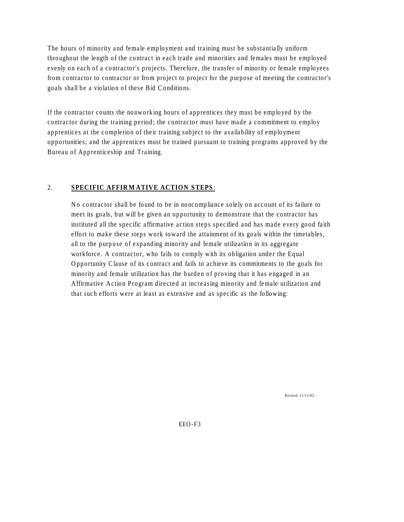The hours of minority and female employment and training must be substantially uniform throughout the length of the contract in each trade and minorities and females must be employed evenly on each of a contractor's projects. Therefore, the transfer of minority or female employees from contractor to contractor or from project to project for the purpose of meeting the contractor's goals shall be a violation of these Bid Conditions.

If the contractor counts the nonworking hours of apprentices they must be employed by the contractor during the training period; the contractor must have made a commitment to employ apprentices at the completion of their training subject to the availability of employment opportunities; and the apprentices must be trained pursuant to training programs approved by the Bureau of Apprenticeship and Training.

# 2. **SPECIFIC AFFIRMATIVE ACTION STEPS**:

No contractor shall be found to be in noncompliance solely on account of its failure to meet its goals, but will be given an opportunity to demonstrate that the contractor has instituted all the specific affirmative action steps specified and has made every good faith effort to make these steps work toward the attainment of its goals within the timetables, all to the purpose of expanding minority and female utilization in its aggregate workforce. A contractor, who fails to comply with its obligation under the Equal Opportunity Clause of its contract and fails to achieve its commitments to the goals for minority and female utilization has the burden of proving that it has engaged in an Affirmative Action Program directed at increasing minority and female utilization and that such efforts were at least as extensive and as specific as the following:

Revised: 11/12/82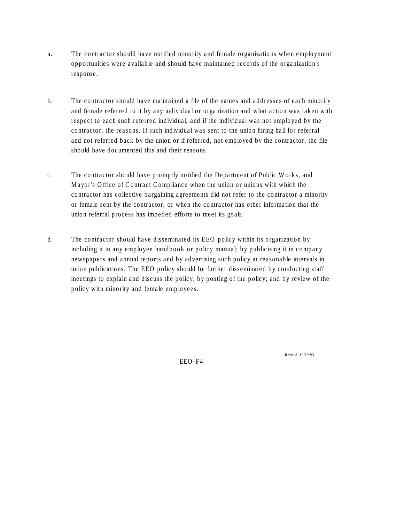- a. The contractor should have notified minority and female organizations when employment opportunities were available and should have maintained records of the organization's response.
- b. The contractor should have maintained a file of the names and addresses of each minority and female referred to it by any individual or organization and what action was taken with respect to each such referred individual, and if the individual was not employed by the contractor, the reasons. If such individual was sent to the union hiring hall for referral and not referred back by the union or if referred, not employed by the contractor, the file should have documented this and their reasons.
- C. The contractor should have promptly notified the Department of Public Works, and Mayor's Office of Contract Compliance when the union or unions with which the contractor has collective bargaining agreements did not refer to the contractor a minority or female sent by the contractor, or when the contractor has other information that the union referral process has impeded efforts to meet its goals.
- d. The contractor should have disseminated its EEO policy within its organization by including it in any employee handbook or policy manual; by publicizing it in company newspapers and annual reports and by advertising such policy at reasonable intervals in union publications. The EEO policy should be further disseminated by conducting staff meetings to explain and discuss the policy; by posting of the policy; and by review of the policy with minority and female employees.

EEO-F4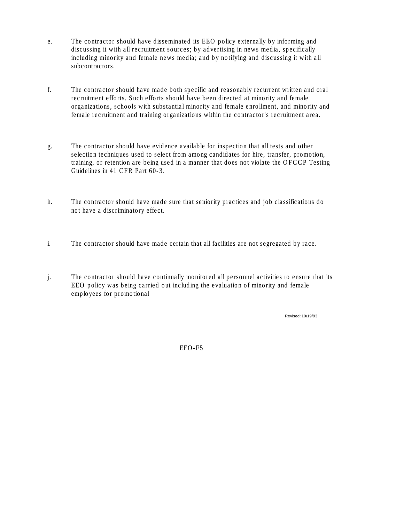- e. The contractor should have disseminated its EEO policy externally by informing and discussing it with all recruitment sources; by advertising in news media, specifically including minority and female news media; and by notifying and discussing it with all subcontractors.
- f. The contractor should have made both specific and reasonably recurrent written and oral recruitment efforts. Such efforts should have been directed at minority and female organizations, schools with substantial minority and female enrollment, and minority and female recruitment and training organizations within the contractor's recruitment area.
- g. The contractor should have evidence available for inspection that all tests and other selection techniques used to select from among candidates for hire, transfer, promotion, training, or retention are being used in a manner that does not violate the OFCCP Testing Guidelines in 41 CFR Part 60-3.
- h. The contractor should have made sure that seniority practices and job classifications do not have a discriminatory effect.
- i. The contractor should have made certain that all facilities are not segregated by race.
- j. The contractor should have continually monitored all personnel activities to ensure that its EEO policy was being carried out including the evaluation of minority and female employees for promotional

Revised: 10/19/93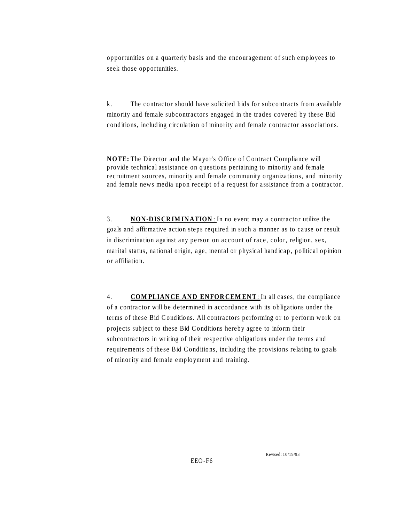opportunities on a quarterly basis and the encouragement of such employees to seek those opportunities.

k. The contractor should have solicited bids for subcontracts from available minority and female subcontractors engaged in the trades covered by these Bid conditions, including circulation of minority and female contractor associations.

**NOTE:** The Director and the Mayor's Office of Contract Compliance will provide technical assistance on questions pertaining to minority and female recruitment sources, minority and female community organizations, and minority and female news media upon receipt of a request for assistance from a contractor.

3. **NON-DISCRIMINATION**: In no event may a contractor utilize the goals and affirmative action steps required in such a manner as to cause or result in discrimination against any person on account of race, color, religion, sex, marital status, national origin, age, mental or physical handicap, political opinion or affiliation.

4. **COMPLIANCE AND ENFORCEMENT**: In all cases, the compliance of a contractor will be determined in accordance with its obligations under the terms of these Bid Conditions. All contractors performing or to perform work on projects subject to these Bid Conditions hereby agree to inform their subcontractors in writing of their respective obligations under the terms and requirements of these Bid Conditions, including the provisions relating to goals of minority and female employment and training.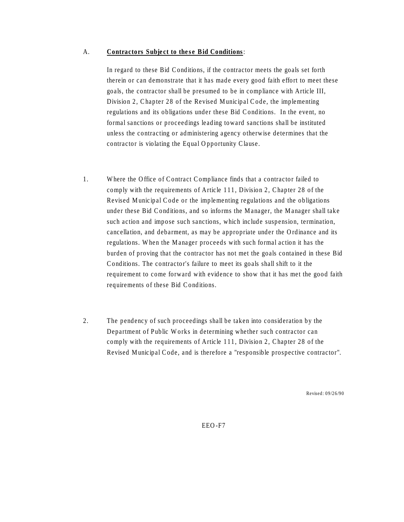#### A. **Contractors Subject to these Bid Conditions**:

In regard to these Bid Conditions, if the contractor meets the goals set forth therein or can demonstrate that it has made every good faith effort to meet these goals, the contractor shall be presumed to be in compliance with Article III, Division 2, Chapter 28 of the Revised Municipal Code, the implementing regulations and its obligations under these Bid Conditions. In the event, no formal sanctions or proceedings leading toward sanctions shall be instituted unless the contracting or administering agency otherwise determines that the contractor is violating the Equal Opportunity Clause.

- 1. Where the Office of Contract Compliance finds that a contractor failed to comply with the requirements of Article 111, Division 2, Chapter 28 of the Revised Municipal Code or the implementing regulations and the obligations under these Bid Conditions, and so informs the Manager, the Manager shall take such action and impose such sanctions, which include suspension, termination, cancellation, and debarment, as may be appropriate under the Ordinance and its regulations. When the Manager proceeds with such formal action it has the burden of proving that the contractor has not met the goals contained in these Bid Conditions. The contractor's failure to meet its goals shall shift to it the requirement to come forward with evidence to show that it has met the good faith requirements of these Bid Conditions.
- 2. The pendency of such proceedings shall be taken into consideration by the Department of Public Works in determining whether such contractor can comply with the requirements of Article 111, Division 2, Chapter 28 of the Revised Municipal Code, and is therefore a "responsible prospective contractor".

Revised: 09/26/90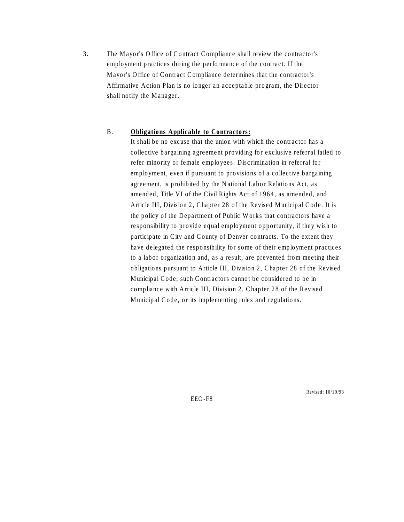3. The Mayor's Office of Contract Compliance shall review the contractor's employment practices during the performance of the contract. If the Mayor's Office of Contract Compliance determines that the contractor's Affirmative Action Plan is no longer an acceptable program, the Director shall notify the Manager.

#### B. **Obligations Applicable to Contractors:**

It shall be no excuse that the union with which the contractor has a collective bargaining agreement providing for exclusive referral failed to refer minority or female employees. Discrimination in referral for employment, even if pursuant to provisions of a collective bargaining agreement, is prohibited by the National Labor Relations Act, as amended, Title VI of the Civil Rights Act of 1964, as amended, and Article III, Division 2, Chapter 28 of the Revised Municipal Code. It is the policy of the Department of Public Works that contractors have a responsibility to provide equal employment opportunity, if they wish to participate in City and County of Denver contracts. To the extent they have delegated the responsibility for some of their employment practices to a labor organization and, as a result, are prevented from meeting their obligations pursuant to Article III, Division 2, Chapter 28 of the Revised Municipal Code, such Contractors cannot be considered to be in compliance with Article III, Division 2, Chapter 28 of the Revised Municipal Code, or its implementing rules and regulations.

Revised: 10/19/93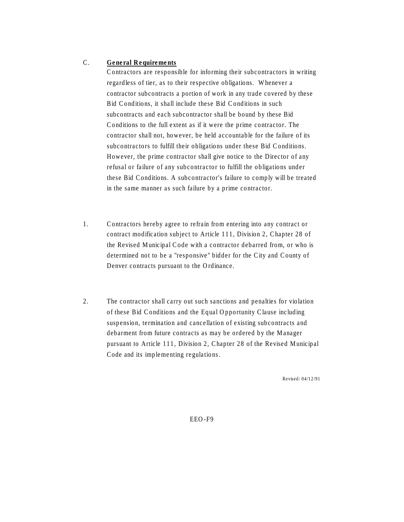# C. **General Requirements**

Contractors are responsible for informing their subcontractors in writing regardless of tier, as to their respective obligations. Whenever a contractor subcontracts a portion of work in any trade covered by these Bid Conditions, it shall include these Bid Conditions in such subcontracts and each subcontractor shall be bound by these Bid Conditions to the full extent as if it were the prime contractor. The contractor shall not, however, be held accountable for the failure of its subcontractors to fulfill their obligations under these Bid Conditions. However, the prime contractor shall give notice to the Director of any refusal or failure of any subcontractor to fulfill the obligations under these Bid Conditions. A subcontractor's failure to comply will be treated in the same manner as such failure by a prime contractor.

- 1. Contractors hereby agree to refrain from entering into any contract or contract modification subject to Article 111, Division 2, Chapter 28 of the Revised Municipal Code with a contractor debarred from, or who is determined not to be a "responsive" bidder for the City and County of Denver contracts pursuant to the Ordinance.
- 2. The contractor shall carry out such sanctions and penalties for violation of these Bid Conditions and the Equal Opportunity Clause including suspension, termination and cancellation of existing subcontracts and debarment from future contracts as may be ordered by the Manager pursuant to Article 111, Division 2, Chapter 28 of the Revised Municipal Code and its implementing regulations.

Revised: 04/12/91